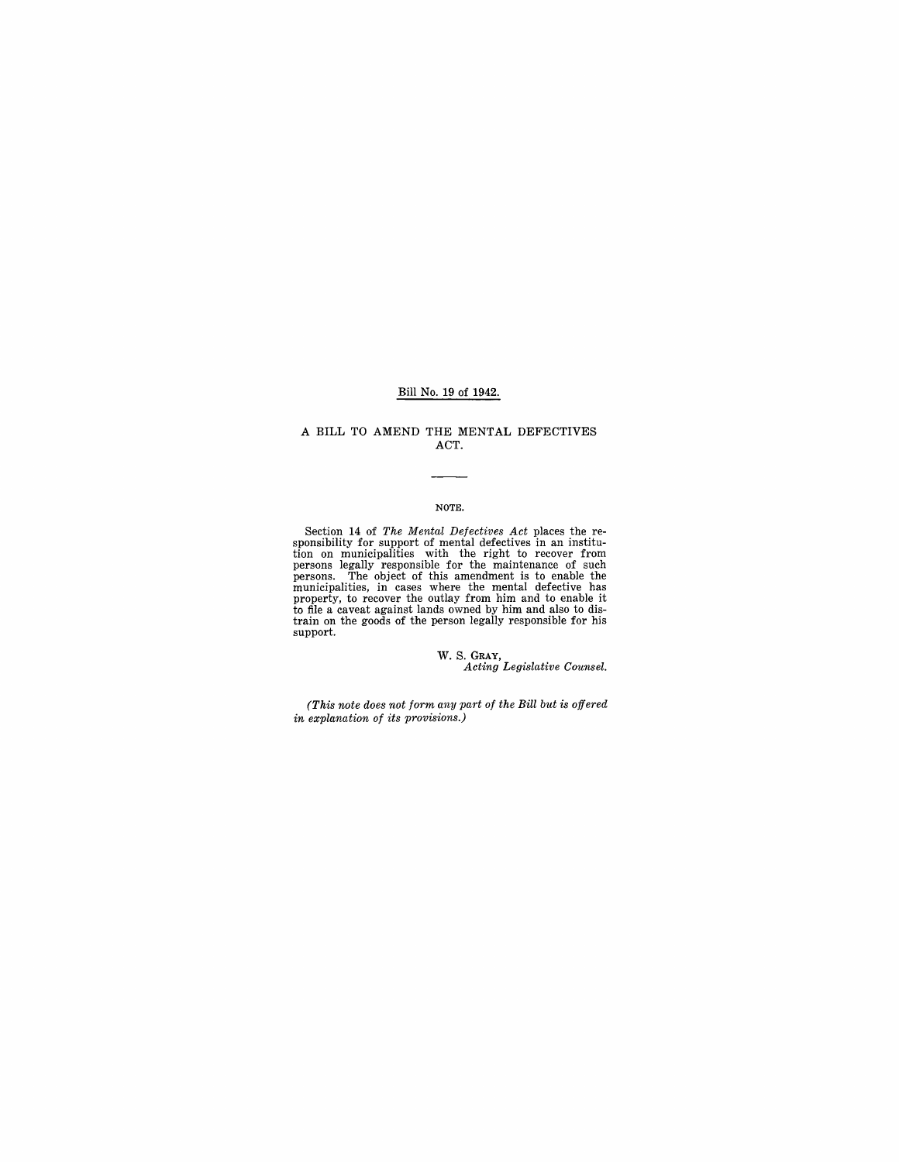## Bill No. 19 of 1942.

## A BILL TO AMEND THE MENTAL DEFECTIVES ACT.

## NOTE.

Section 14 of *The Mental Defectives Act* places the responsibility for support of mental defectives in an institution on municipalities with the right to recover from persons legally responsible for the maintenance of su support.

w. S. GRAY, *Acting Legislative Counsel.* 

*(This note does not form any part of the Bill but is offered in explanation of its provisions.)*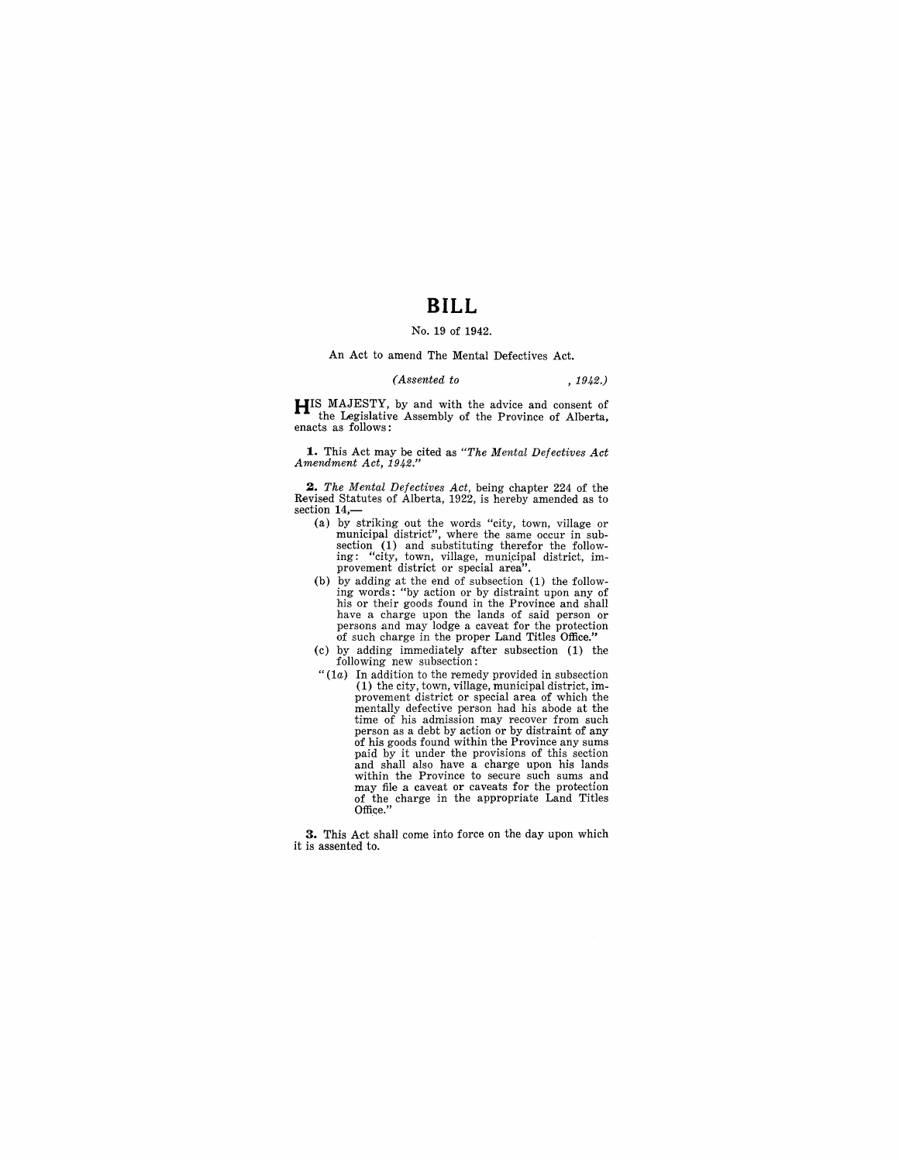# **BILL**

# No. 19 of 1942.

An Act to amend The Mental Defectives Act.

#### *(Assented to* , 1942.)

**HIS** MAJESTY, by and with the advice and consent of the Legislative Assembly of the Province of Alberta, enacts as follows:

~. This Act may be cited as *"The Mental Defectives Act Amendment Act, 1942."* 

*2. The Mental Defectives Act,* being chapter 224 of the Revised Statutes of Alberta, 1922, is hereby amended as to section 14,-

- (a) by striking out the words "city, town, village or municipal district", where the same occur in subsection  $(1)$  and substituting therefor the following: "city, town, village, municipal district, improvement district o
- (b) by adding at the end of subsection (1) the following words: "by action or by distraint upon any of his or their goods found in the Province and shall have a charge upon the lands of said person or persons and may lodge a caveat for the protection of such charge in the proper Land Titles Office."
- (c) by adding immediately after subsection (1) the following new subsection:
- *"(la)* In addition to the remedy provided in subsection (1) the city, town, village, municipal district, improvement district or special area of which the mentally defective person had his abode at the time of his admission may recover from such person as a debt by action or by distraint of any of his goods found within the Province any sums paid by it under the provisions of this section and shall also have a charge upon his lands within the Province to secure such sums and may file a caveat or caveats for the protection of the charge in the appropriate Land Titles Office."

**3.** This Act shall come into force on the day upon which it is assented to.